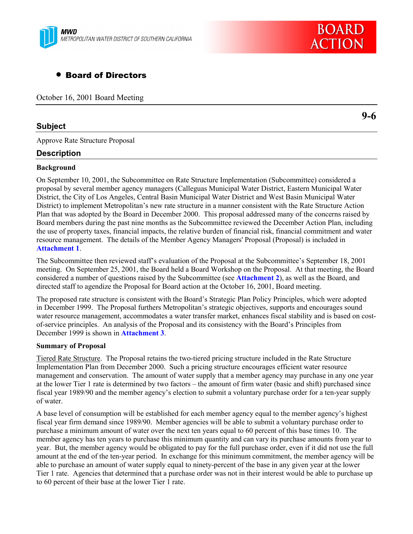

# • Board of Directors

October 16, 2001 Board Meeting

#### **Subject**

Approve Rate Structure Proposal

#### **Description**

#### **Background**

On September 10, 2001, the Subcommittee on Rate Structure Implementation (Subcommittee) considered a proposal by several member agency managers (Calleguas Municipal Water District, Eastern Municipal Water District, the City of Los Angeles, Central Basin Municipal Water District and West Basin Municipal Water District) to implement Metropolitan's new rate structure in a manner consistent with the Rate Structure Action Plan that was adopted by the Board in December 2000. This proposal addressed many of the concerns raised by Board members during the past nine months as the Subcommittee reviewed the December Action Plan, including the use of property taxes, financial impacts, the relative burden of financial risk, financial commitment and water resource management. The details of the Member Agency Managers' Proposal (Proposal) is included in **Attachment 1**.

The Subcommittee then reviewed staff's evaluation of the Proposal at the Subcommittee's September 18, 2001 meeting. On September 25, 2001, the Board held a Board Workshop on the Proposal. At that meeting, the Board considered a number of questions raised by the Subcommittee (see **Attachment 2**), as well as the Board, and directed staff to agendize the Proposal for Board action at the October 16, 2001, Board meeting.

The proposed rate structure is consistent with the Board's Strategic Plan Policy Principles, which were adopted in December 1999. The Proposal furthers Metropolitan's strategic objectives, supports and encourages sound water resource management, accommodates a water transfer market, enhances fiscal stability and is based on costof-service principles. An analysis of the Proposal and its consistency with the Board's Principles from December 1999 is shown in **Attachment 3**.

#### **Summary of Proposal**

Tiered Rate Structure. The Proposal retains the two-tiered pricing structure included in the Rate Structure Implementation Plan from December 2000. Such a pricing structure encourages efficient water resource management and conservation. The amount of water supply that a member agency may purchase in any one year at the lower Tier 1 rate is determined by two factors – the amount of firm water (basic and shift) purchased since fiscal year 1989/90 and the member agencyís election to submit a voluntary purchase order for a ten-year supply of water.

A base level of consumption will be established for each member agency equal to the member agency's highest fiscal year firm demand since 1989/90. Member agencies will be able to submit a voluntary purchase order to purchase a minimum amount of water over the next ten years equal to 60 percent of this base times 10. The member agency has ten years to purchase this minimum quantity and can vary its purchase amounts from year to year. But, the member agency would be obligated to pay for the full purchase order, even if it did not use the full amount at the end of the ten-year period. In exchange for this minimum commitment, the member agency will be able to purchase an amount of water supply equal to ninety-percent of the base in any given year at the lower Tier 1 rate. Agencies that determined that a purchase order was not in their interest would be able to purchase up to 60 percent of their base at the lower Tier 1 rate.

**9-6**

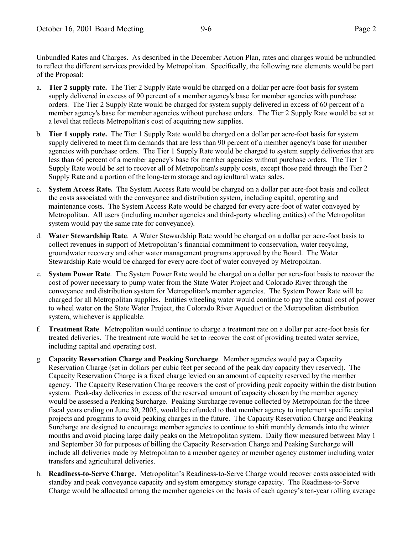Unbundled Rates and Charges. As described in the December Action Plan, rates and charges would be unbundled to reflect the different services provided by Metropolitan. Specifically, the following rate elements would be part of the Proposal:

- a. **Tier 2 supply rate.** The Tier 2 Supply Rate would be charged on a dollar per acre-foot basis for system supply delivered in excess of 90 percent of a member agency's base for member agencies with purchase orders. The Tier 2 Supply Rate would be charged for system supply delivered in excess of 60 percent of a member agency's base for member agencies without purchase orders. The Tier 2 Supply Rate would be set at a level that reflects Metropolitan's cost of acquiring new supplies.
- b. **Tier 1 supply rate.** The Tier 1 Supply Rate would be charged on a dollar per acre-foot basis for system supply delivered to meet firm demands that are less than 90 percent of a member agency's base for member agencies with purchase orders. The Tier 1 Supply Rate would be charged to system supply deliveries that are less than 60 percent of a member agency's base for member agencies without purchase orders. The Tier 1 Supply Rate would be set to recover all of Metropolitan's supply costs, except those paid through the Tier 2 Supply Rate and a portion of the long-term storage and agricultural water sales.
- c. **System Access Rate.** The System Access Rate would be charged on a dollar per acre-foot basis and collect the costs associated with the conveyance and distribution system, including capital, operating and maintenance costs. The System Access Rate would be charged for every acre-foot of water conveyed by Metropolitan. All users (including member agencies and third-party wheeling entities) of the Metropolitan system would pay the same rate for conveyance).
- d. **Water Stewardship Rate**. A Water Stewardship Rate would be charged on a dollar per acre-foot basis to collect revenues in support of Metropolitan's financial commitment to conservation, water recycling, groundwater recovery and other water management programs approved by the Board. The Water Stewardship Rate would be charged for every acre-foot of water conveyed by Metropolitan.
- e. **System Power Rate**. The System Power Rate would be charged on a dollar per acre-foot basis to recover the cost of power necessary to pump water from the State Water Project and Colorado River through the conveyance and distribution system for Metropolitan's member agencies. The System Power Rate will be charged for all Metropolitan supplies. Entities wheeling water would continue to pay the actual cost of power to wheel water on the State Water Project, the Colorado River Aqueduct or the Metropolitan distribution system, whichever is applicable.
- f. **Treatment Rate**. Metropolitan would continue to charge a treatment rate on a dollar per acre-foot basis for treated deliveries. The treatment rate would be set to recover the cost of providing treated water service, including capital and operating cost.
- g. **Capacity Reservation Charge and Peaking Surcharge**. Member agencies would pay a Capacity Reservation Charge (set in dollars per cubic feet per second of the peak day capacity they reserved). The Capacity Reservation Charge is a fixed charge levied on an amount of capacity reserved by the member agency. The Capacity Reservation Charge recovers the cost of providing peak capacity within the distribution system. Peak-day deliveries in excess of the reserved amount of capacity chosen by the member agency would be assessed a Peaking Surcharge. Peaking Surcharge revenue collected by Metropolitan for the three fiscal years ending on June 30, 2005, would be refunded to that member agency to implement specific capital projects and programs to avoid peaking charges in the future. The Capacity Reservation Charge and Peaking Surcharge are designed to encourage member agencies to continue to shift monthly demands into the winter months and avoid placing large daily peaks on the Metropolitan system. Daily flow measured between May 1 and September 30 for purposes of billing the Capacity Reservation Charge and Peaking Surcharge will include all deliveries made by Metropolitan to a member agency or member agency customer including water transfers and agricultural deliveries.
- h. **Readiness-to-Serve Charge**. Metropolitanís Readiness-to-Serve Charge would recover costs associated with standby and peak conveyance capacity and system emergency storage capacity. The Readiness-to-Serve Charge would be allocated among the member agencies on the basis of each agency's ten-year rolling average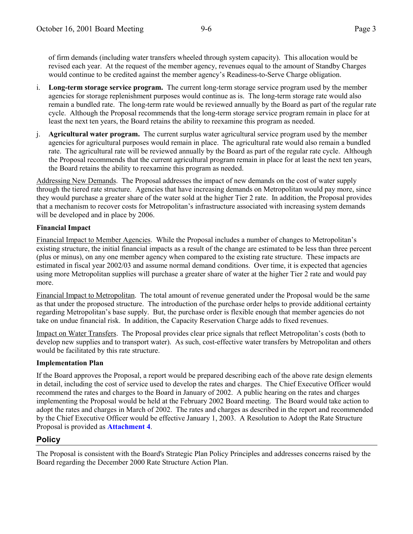of firm demands (including water transfers wheeled through system capacity). This allocation would be revised each year. At the request of the member agency, revenues equal to the amount of Standby Charges would continue to be credited against the member agency's Readiness-to-Serve Charge obligation.

- i. **Long-term storage service program.** The current long-term storage service program used by the member agencies for storage replenishment purposes would continue as is. The long-term storage rate would also remain a bundled rate. The long-term rate would be reviewed annually by the Board as part of the regular rate cycle. Although the Proposal recommends that the long-term storage service program remain in place for at least the next ten years, the Board retains the ability to reexamine this program as needed.
- j. **Agricultural water program.** The current surplus water agricultural service program used by the member agencies for agricultural purposes would remain in place. The agricultural rate would also remain a bundled rate. The agricultural rate will be reviewed annually by the Board as part of the regular rate cycle. Although the Proposal recommends that the current agricultural program remain in place for at least the next ten years, the Board retains the ability to reexamine this program as needed.

Addressing New Demands. The Proposal addresses the impact of new demands on the cost of water supply through the tiered rate structure. Agencies that have increasing demands on Metropolitan would pay more, since they would purchase a greater share of the water sold at the higher Tier 2 rate. In addition, the Proposal provides that a mechanism to recover costs for Metropolitanís infrastructure associated with increasing system demands will be developed and in place by 2006.

#### **Financial Impact**

Financial Impact to Member Agencies. While the Proposal includes a number of changes to Metropolitanís existing structure, the initial financial impacts as a result of the change are estimated to be less than three percent (plus or minus), on any one member agency when compared to the existing rate structure. These impacts are estimated in fiscal year 2002/03 and assume normal demand conditions. Over time, it is expected that agencies using more Metropolitan supplies will purchase a greater share of water at the higher Tier 2 rate and would pay more.

Financial Impact to Metropolitan. The total amount of revenue generated under the Proposal would be the same as that under the proposed structure. The introduction of the purchase order helps to provide additional certainty regarding Metropolitanís base supply. But, the purchase order is flexible enough that member agencies do not take on undue financial risk. In addition, the Capacity Reservation Charge adds to fixed revenues.

Impact on Water Transfers. The Proposal provides clear price signals that reflect Metropolitan's costs (both to develop new supplies and to transport water). As such, cost-effective water transfers by Metropolitan and others would be facilitated by this rate structure.

#### **Implementation Plan**

If the Board approves the Proposal, a report would be prepared describing each of the above rate design elements in detail, including the cost of service used to develop the rates and charges. The Chief Executive Officer would recommend the rates and charges to the Board in January of 2002. A public hearing on the rates and charges implementing the Proposal would be held at the February 2002 Board meeting. The Board would take action to adopt the rates and charges in March of 2002. The rates and charges as described in the report and recommended by the Chief Executive Officer would be effective January 1, 2003. A Resolution to Adopt the Rate Structure Proposal is provided as **Attachment 4**.

## **Policy**

The Proposal is consistent with the Board's Strategic Plan Policy Principles and addresses concerns raised by the Board regarding the December 2000 Rate Structure Action Plan.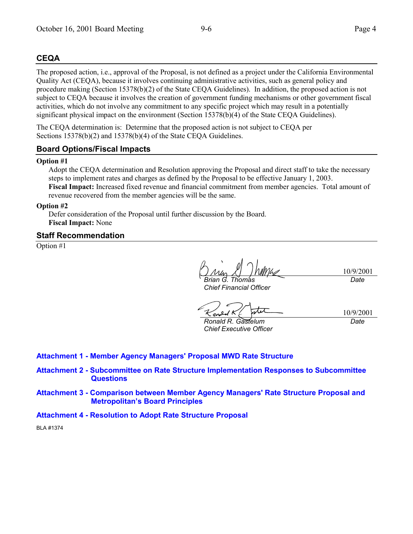#### **CEQA**

The proposed action, i.e., approval of the Proposal, is not defined as a project under the California Environmental Quality Act (CEQA), because it involves continuing administrative activities, such as general policy and procedure making (Section 15378(b)(2) of the State CEQA Guidelines). In addition, the proposed action is not subject to CEQA because it involves the creation of government funding mechanisms or other government fiscal activities, which do not involve any commitment to any specific project which may result in a potentially significant physical impact on the environment (Section 15378(b)(4) of the State CEQA Guidelines).

The CEQA determination is: Determine that the proposed action is not subject to CEQA per Sections 15378(b)(2) and 15378(b)(4) of the State CEQA Guidelines.

#### **Board Options/Fiscal Impacts**

#### **Option #1**

Adopt the CEQA determination and Resolution approving the Proposal and direct staff to take the necessary steps to implement rates and charges as defined by the Proposal to be effective January 1, 2003. **Fiscal Impact:** Increased fixed revenue and financial commitment from member agencies. Total amount of revenue recovered from the member agencies will be the same.

#### **Option #2**

Defer consideration of the Proposal until further discussion by the Board. **Fiscal Impact:** None

#### **Staff Recommendation**

Option #1

10/9/2001 *Date*

*Brian G. Thomas Chief Financial Officer*

*Ronald R. Gastelum Chief Executive Officer*

10/9/2001 *Date*

#### **Attachment 1 - Member Agency Managers' Proposal MWD Rate Structure**

- **Attachment 2 Subcommittee on Rate Structure Implementation Responses to Subcommittee Questions**
- **Attachment 3 Comparison between Member Agency Managers' Rate Structure Proposal and Metropolitanís Board Principles**
- **Attachment 4 Resolution to Adopt Rate Structure Proposal**

BLA #1374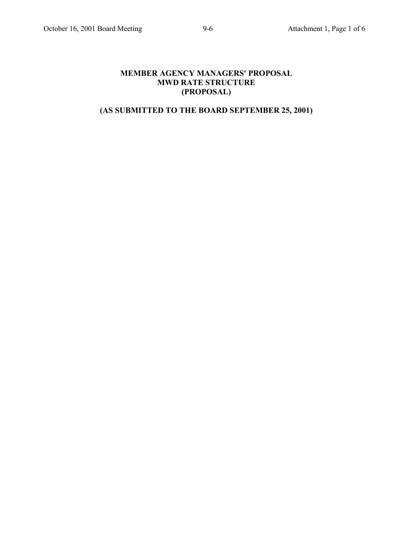## **MEMBER AGENCY MANAGERS' PROPOSAL MWD RATE STRUCTURE (PROPOSAL)**

# **(AS SUBMITTED TO THE BOARD SEPTEMBER 25, 2001)**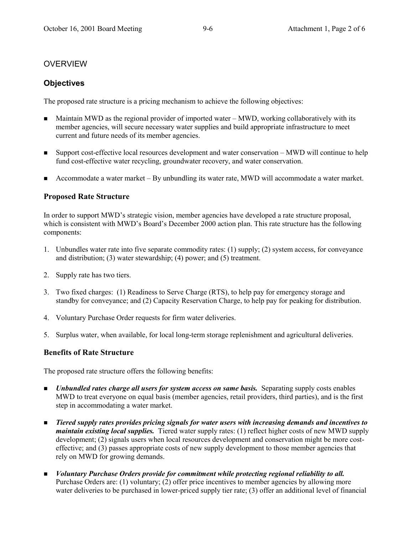# OVERVIEW

# **Objectives**

The proposed rate structure is a pricing mechanism to achieve the following objectives:

- **I.** Maintain MWD as the regional provider of imported water MWD, working collaboratively with its member agencies, will secure necessary water supplies and build appropriate infrastructure to meet current and future needs of its member agencies.
- **Example 1** Support cost-effective local resources development and water conservation MWD will continue to help fund cost-effective water recycling, groundwater recovery, and water conservation.
- **Example 3** Accommodate a water market  $-$  By unbundling its water rate, MWD will accommodate a water market.

## **Proposed Rate Structure**

In order to support MWD's strategic vision, member agencies have developed a rate structure proposal, which is consistent with MWD's Board's December 2000 action plan. This rate structure has the following components:

- 1. Unbundles water rate into five separate commodity rates: (1) supply; (2) system access, for conveyance and distribution; (3) water stewardship; (4) power; and (5) treatment.
- 2. Supply rate has two tiers.
- 3. Two fixed charges: (1) Readiness to Serve Charge (RTS), to help pay for emergency storage and standby for conveyance; and (2) Capacity Reservation Charge, to help pay for peaking for distribution.
- 4. Voluntary Purchase Order requests for firm water deliveries.
- 5. Surplus water, when available, for local long-term storage replenishment and agricultural deliveries.

## **Benefits of Rate Structure**

The proposed rate structure offers the following benefits:

- **I.** *Unbundled rates charge all users for system access on same basis.* Separating supply costs enables MWD to treat everyone on equal basis (member agencies, retail providers, third parties), and is the first step in accommodating a water market.
- ! *Tiered supply rates provides pricing signals for water users with increasing demands and incentives to maintain existing local supplies.* Tiered water supply rates: (1) reflect higher costs of new MWD supply development; (2) signals users when local resources development and conservation might be more costeffective; and (3) passes appropriate costs of new supply development to those member agencies that rely on MWD for growing demands.
- ! *Voluntary Purchase Orders provide for commitment while protecting regional reliability to all.* Purchase Orders are: (1) voluntary; (2) offer price incentives to member agencies by allowing more water deliveries to be purchased in lower-priced supply tier rate; (3) offer an additional level of financial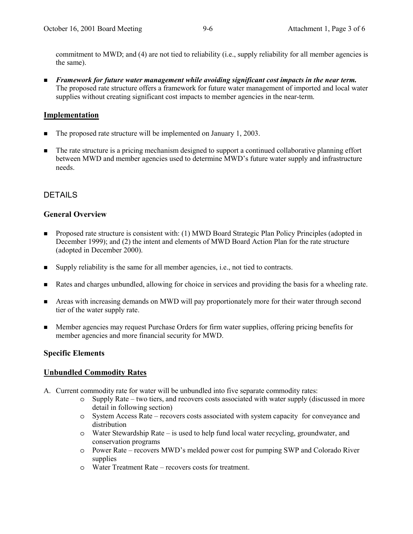commitment to MWD; and (4) are not tied to reliability (i.e., supply reliability for all member agencies is the same).

! *Framework for future water management while avoiding significant cost impacts in the near term.* The proposed rate structure offers a framework for future water management of imported and local water supplies without creating significant cost impacts to member agencies in the near-term.

#### **Implementation**

- The proposed rate structure will be implemented on January 1, 2003.
- **I.** The rate structure is a pricing mechanism designed to support a continued collaborative planning effort between MWD and member agencies used to determine MWD's future water supply and infrastructure needs.

#### **DETAILS**

#### **General Overview**

- ! Proposed rate structure is consistent with: (1) MWD Board Strategic Plan Policy Principles (adopted in December 1999); and (2) the intent and elements of MWD Board Action Plan for the rate structure (adopted in December 2000).
- ! Supply reliability is the same for all member agencies, i.e., not tied to contracts.
- ! Rates and charges unbundled, allowing for choice in services and providing the basis for a wheeling rate.
- **Example 1** Areas with increasing demands on MWD will pay proportionately more for their water through second tier of the water supply rate.
- ! Member agencies may request Purchase Orders for firm water supplies, offering pricing benefits for member agencies and more financial security for MWD.

#### **Specific Elements**

#### **Unbundled Commodity Rates**

- A. Current commodity rate for water will be unbundled into five separate commodity rates:
	- $\circ$  Supply Rate two tiers, and recovers costs associated with water supply (discussed in more detail in following section)
	- o System Access Rate recovers costs associated with system capacity for conveyance and distribution
	- o Water Stewardship Rate is used to help fund local water recycling, groundwater, and conservation programs
	- o Power Rate ñ recovers MWDís melded power cost for pumping SWP and Colorado River supplies
	- o Water Treatment Rate recovers costs for treatment.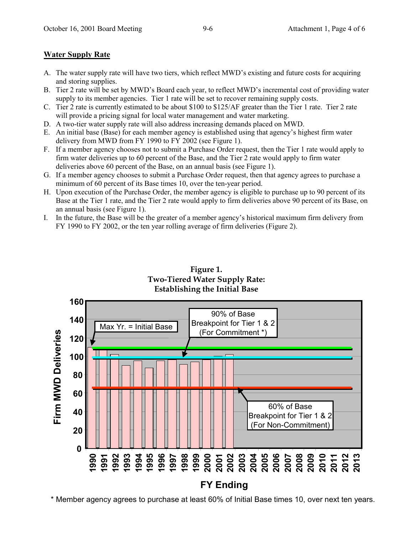## **Water Supply Rate**

- A. The water supply rate will have two tiers, which reflect MWD's existing and future costs for acquiring and storing supplies.
- B. Tier 2 rate will be set by MWD's Board each year, to reflect MWD's incremental cost of providing water supply to its member agencies. Tier 1 rate will be set to recover remaining supply costs.
- C. Tier 2 rate is currently estimated to be about \$100 to \$125/AF greater than the Tier 1 rate. Tier 2 rate will provide a pricing signal for local water management and water marketing.
- D. A two-tier water supply rate will also address increasing demands placed on MWD.
- E. An initial base (Base) for each member agency is established using that agencyís highest firm water delivery from MWD from FY 1990 to FY 2002 (see Figure 1).
- F. If a member agency chooses not to submit a Purchase Order request, then the Tier 1 rate would apply to firm water deliveries up to 60 percent of the Base, and the Tier 2 rate would apply to firm water deliveries above 60 percent of the Base, on an annual basis (see Figure 1).
- G. If a member agency chooses to submit a Purchase Order request, then that agency agrees to purchase a minimum of 60 percent of its Base times 10, over the ten-year period.
- H. Upon execution of the Purchase Order, the member agency is eligible to purchase up to 90 percent of its Base at the Tier 1 rate, and the Tier 2 rate would apply to firm deliveries above 90 percent of its Base, on an annual basis (see Figure 1).
- I. In the future, the Base will be the greater of a member agencyís historical maximum firm delivery from FY 1990 to FY 2002, or the ten year rolling average of firm deliveries (Figure 2).



**Figure 1. Two-Tiered Water Supply Rate: Establishing the Initial Base**

\* Member agency agrees to purchase at least 60% of Initial Base times 10, over next ten years.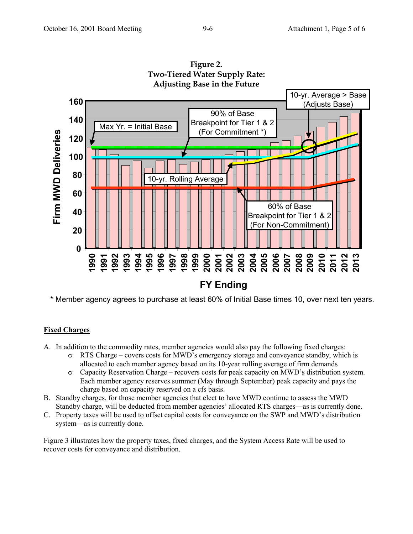

**Figure 2. Two-Tiered Water Supply Rate:**

\* Member agency agrees to purchase at least 60% of Initial Base times 10, over next ten years.

# **Fixed Charges**

- A. In addition to the commodity rates, member agencies would also pay the following fixed charges:
	- o RTS Charge covers costs for MWD's emergency storage and conveyance standby, which is allocated to each member agency based on its 10-year rolling average of firm demands
	- $\circ$  Capacity Reservation Charge recovers costs for peak capacity on MWD's distribution system. Each member agency reserves summer (May through September) peak capacity and pays the charge based on capacity reserved on a cfs basis.
- B. Standby charges, for those member agencies that elect to have MWD continue to assess the MWD Standby charge, will be deducted from member agencies' allocated RTS charges—as is currently done.
- C. Property taxes will be used to offset capital costs for conveyance on the SWP and MWD's distribution system—as is currently done.

Figure 3 illustrates how the property taxes, fixed charges, and the System Access Rate will be used to recover costs for conveyance and distribution.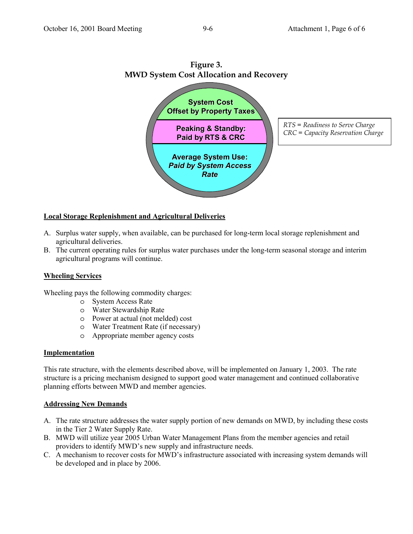

# **Figure 3.**

#### **Local Storage Replenishment and Agricultural Deliveries**

- A. Surplus water supply, when available, can be purchased for long-term local storage replenishment and agricultural deliveries.
- B. The current operating rules for surplus water purchases under the long-term seasonal storage and interim agricultural programs will continue.

#### **Wheeling Services**

Wheeling pays the following commodity charges:

- o System Access Rate
- o Water Stewardship Rate
- o Power at actual (not melded) cost
- o Water Treatment Rate (if necessary)
- o Appropriate member agency costs

#### **Implementation**

This rate structure, with the elements described above, will be implemented on January 1, 2003. The rate structure is a pricing mechanism designed to support good water management and continued collaborative planning efforts between MWD and member agencies.

#### **Addressing New Demands**

- A. The rate structure addresses the water supply portion of new demands on MWD, by including these costs in the Tier 2 Water Supply Rate.
- B. MWD will utilize year 2005 Urban Water Management Plans from the member agencies and retail providers to identify MWD's new supply and infrastructure needs.
- C. A mechanism to recover costs for MWD's infrastructure associated with increasing system demands will be developed and in place by 2006.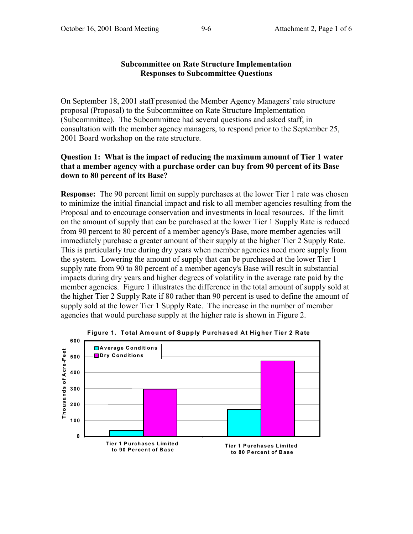#### **Subcommittee on Rate Structure Implementation Responses to Subcommittee Questions**

On September 18, 2001 staff presented the Member Agency Managers' rate structure proposal (Proposal) to the Subcommittee on Rate Structure Implementation (Subcommittee). The Subcommittee had several questions and asked staff, in consultation with the member agency managers, to respond prior to the September 25, 2001 Board workshop on the rate structure.

#### **Question 1: What is the impact of reducing the maximum amount of Tier 1 water that a member agency with a purchase order can buy from 90 percent of its Base down to 80 percent of its Base?**

**Response:** The 90 percent limit on supply purchases at the lower Tier 1 rate was chosen to minimize the initial financial impact and risk to all member agencies resulting from the Proposal and to encourage conservation and investments in local resources. If the limit on the amount of supply that can be purchased at the lower Tier 1 Supply Rate is reduced from 90 percent to 80 percent of a member agency's Base, more member agencies will immediately purchase a greater amount of their supply at the higher Tier 2 Supply Rate. This is particularly true during dry years when member agencies need more supply from the system. Lowering the amount of supply that can be purchased at the lower Tier 1 supply rate from 90 to 80 percent of a member agency's Base will result in substantial impacts during dry years and higher degrees of volatility in the average rate paid by the member agencies. Figure 1 illustrates the difference in the total amount of supply sold at the higher Tier 2 Supply Rate if 80 rather than 90 percent is used to define the amount of supply sold at the lower Tier 1 Supply Rate. The increase in the number of member agencies that would purchase supply at the higher rate is shown in Figure 2.



**Figure 1. Total Amount of Supply Purchased At Higher Tier 2 Rate**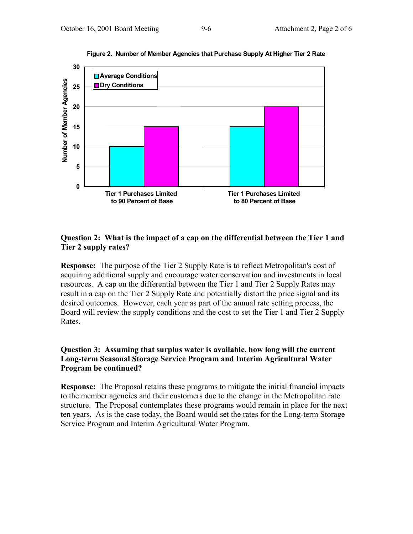

**Figure 2. Number of Member Agencies that Purchase Supply At Higher Tier 2 Rate**

#### **Question 2: What is the impact of a cap on the differential between the Tier 1 and Tier 2 supply rates?**

**Response:** The purpose of the Tier 2 Supply Rate is to reflect Metropolitan's cost of acquiring additional supply and encourage water conservation and investments in local resources. A cap on the differential between the Tier 1 and Tier 2 Supply Rates may result in a cap on the Tier 2 Supply Rate and potentially distort the price signal and its desired outcomes. However, each year as part of the annual rate setting process, the Board will review the supply conditions and the cost to set the Tier 1 and Tier 2 Supply Rates.

### **Question 3: Assuming that surplus water is available, how long will the current Long-term Seasonal Storage Service Program and Interim Agricultural Water Program be continued?**

**Response:** The Proposal retains these programs to mitigate the initial financial impacts to the member agencies and their customers due to the change in the Metropolitan rate structure. The Proposal contemplates these programs would remain in place for the next ten years. As is the case today, the Board would set the rates for the Long-term Storage Service Program and Interim Agricultural Water Program.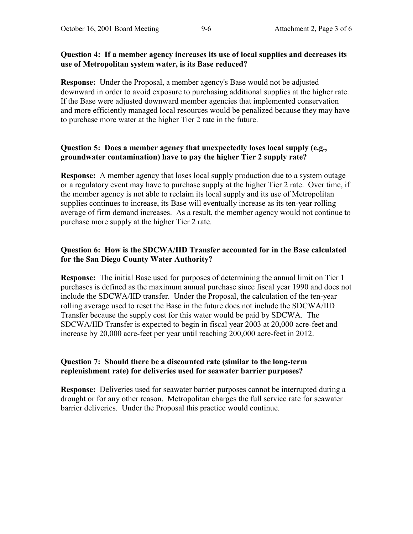#### **Question 4: If a member agency increases its use of local supplies and decreases its use of Metropolitan system water, is its Base reduced?**

**Response:** Under the Proposal, a member agency's Base would not be adjusted downward in order to avoid exposure to purchasing additional supplies at the higher rate. If the Base were adjusted downward member agencies that implemented conservation and more efficiently managed local resources would be penalized because they may have to purchase more water at the higher Tier 2 rate in the future.

## **Question 5: Does a member agency that unexpectedly loses local supply (e.g., groundwater contamination) have to pay the higher Tier 2 supply rate?**

**Response:** A member agency that loses local supply production due to a system outage or a regulatory event may have to purchase supply at the higher Tier 2 rate. Over time, if the member agency is not able to reclaim its local supply and its use of Metropolitan supplies continues to increase, its Base will eventually increase as its ten-year rolling average of firm demand increases. As a result, the member agency would not continue to purchase more supply at the higher Tier 2 rate.

## **Question 6: How is the SDCWA/IID Transfer accounted for in the Base calculated for the San Diego County Water Authority?**

**Response:** The initial Base used for purposes of determining the annual limit on Tier 1 purchases is defined as the maximum annual purchase since fiscal year 1990 and does not include the SDCWA/IID transfer. Under the Proposal, the calculation of the ten-year rolling average used to reset the Base in the future does not include the SDCWA/IID Transfer because the supply cost for this water would be paid by SDCWA. The SDCWA/IID Transfer is expected to begin in fiscal year 2003 at 20,000 acre-feet and increase by 20,000 acre-feet per year until reaching 200,000 acre-feet in 2012.

## **Question 7: Should there be a discounted rate (similar to the long-term replenishment rate) for deliveries used for seawater barrier purposes?**

**Response:** Deliveries used for seawater barrier purposes cannot be interrupted during a drought or for any other reason. Metropolitan charges the full service rate for seawater barrier deliveries. Under the Proposal this practice would continue.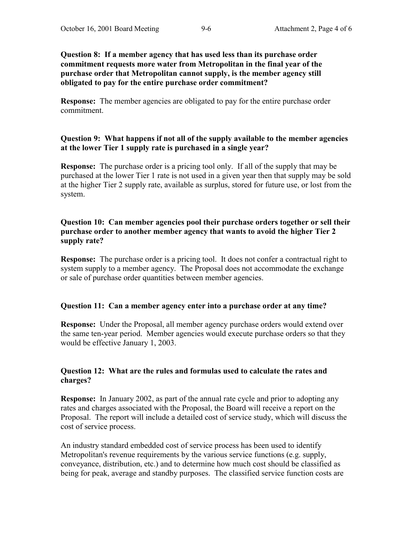**Question 8: If a member agency that has used less than its purchase order commitment requests more water from Metropolitan in the final year of the purchase order that Metropolitan cannot supply, is the member agency still obligated to pay for the entire purchase order commitment?**

**Response:** The member agencies are obligated to pay for the entire purchase order commitment.

#### **Question 9: What happens if not all of the supply available to the member agencies at the lower Tier 1 supply rate is purchased in a single year?**

**Response:** The purchase order is a pricing tool only. If all of the supply that may be purchased at the lower Tier 1 rate is not used in a given year then that supply may be sold at the higher Tier 2 supply rate, available as surplus, stored for future use, or lost from the system.

## **Question 10: Can member agencies pool their purchase orders together or sell their purchase order to another member agency that wants to avoid the higher Tier 2 supply rate?**

**Response:** The purchase order is a pricing tool. It does not confer a contractual right to system supply to a member agency. The Proposal does not accommodate the exchange or sale of purchase order quantities between member agencies.

## **Question 11: Can a member agency enter into a purchase order at any time?**

**Response:** Under the Proposal, all member agency purchase orders would extend over the same ten-year period. Member agencies would execute purchase orders so that they would be effective January 1, 2003.

#### **Question 12: What are the rules and formulas used to calculate the rates and charges?**

**Response:** In January 2002, as part of the annual rate cycle and prior to adopting any rates and charges associated with the Proposal, the Board will receive a report on the Proposal. The report will include a detailed cost of service study, which will discuss the cost of service process.

An industry standard embedded cost of service process has been used to identify Metropolitan's revenue requirements by the various service functions (e.g. supply, conveyance, distribution, etc.) and to determine how much cost should be classified as being for peak, average and standby purposes. The classified service function costs are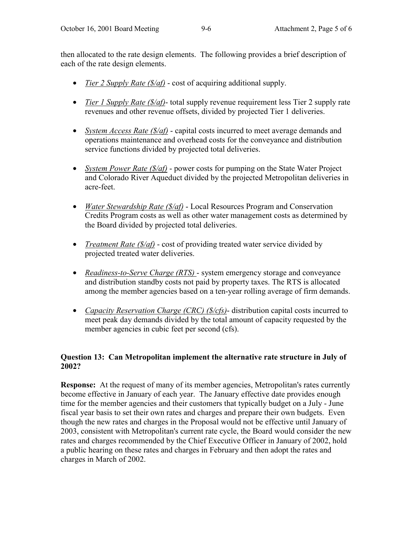then allocated to the rate design elements. The following provides a brief description of each of the rate design elements.

- *Tier 2 Supply Rate (\$/af)* cost of acquiring additional supply.
- *Tier 1 Supply Rate (\$/af)* total supply revenue requirement less Tier 2 supply rate revenues and other revenue offsets, divided by projected Tier 1 deliveries.
- *System Access Rate (\$/af)* capital costs incurred to meet average demands and operations maintenance and overhead costs for the conveyance and distribution service functions divided by projected total deliveries.
- *System Power Rate (\$/af)* power costs for pumping on the State Water Project and Colorado River Aqueduct divided by the projected Metropolitan deliveries in acre-feet.
- *Water Stewardship Rate (\$/af)* Local Resources Program and Conservation Credits Program costs as well as other water management costs as determined by the Board divided by projected total deliveries.
- *Treatment Rate (\$/af)* cost of providing treated water service divided by projected treated water deliveries.
- *Readiness-to-Serve Charge (RTS)*  system emergency storage and conveyance and distribution standby costs not paid by property taxes. The RTS is allocated among the member agencies based on a ten-year rolling average of firm demands.
- *Capacity Reservation Charge (CRC) (\$/cfs)* distribution capital costs incurred to meet peak day demands divided by the total amount of capacity requested by the member agencies in cubic feet per second (cfs).

# **Question 13: Can Metropolitan implement the alternative rate structure in July of 2002?**

**Response:** At the request of many of its member agencies, Metropolitan's rates currently become effective in January of each year. The January effective date provides enough time for the member agencies and their customers that typically budget on a July - June fiscal year basis to set their own rates and charges and prepare their own budgets. Even though the new rates and charges in the Proposal would not be effective until January of 2003, consistent with Metropolitan's current rate cycle, the Board would consider the new rates and charges recommended by the Chief Executive Officer in January of 2002, hold a public hearing on these rates and charges in February and then adopt the rates and charges in March of 2002.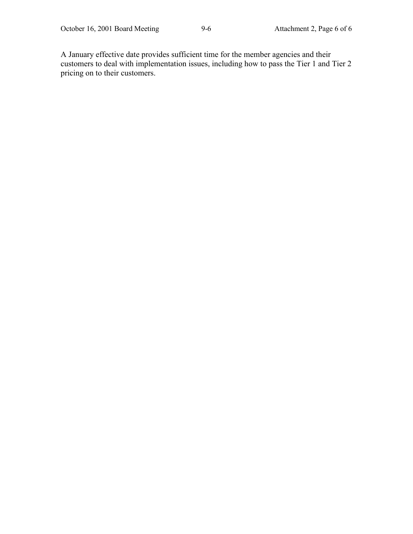A January effective date provides sufficient time for the member agencies and their customers to deal with implementation issues, including how to pass the Tier 1 and Tier 2 pricing on to their customers.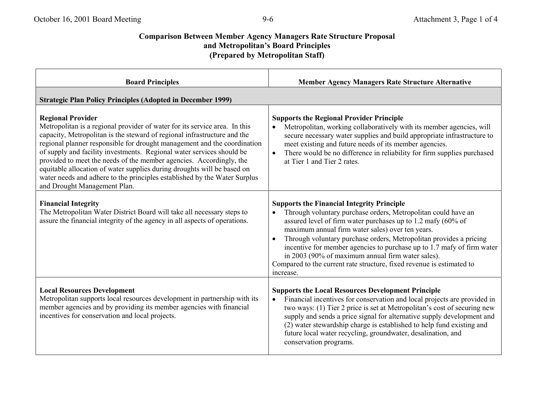### **Comparison Between Member Agency Managers Rate Structure Proposal** and Metropolitan's Board Principles **(Prepared by Metropolitan Staff)**

| <b>Board Principles</b>                                                                                                                                                                                                                                                                                                                                                                                                                                                                                                                                                                                | <b>Member Agency Managers Rate Structure Alternative</b>                                                                                                                                                                                                                                                                                                                                                                                                                                                                          |  |
|--------------------------------------------------------------------------------------------------------------------------------------------------------------------------------------------------------------------------------------------------------------------------------------------------------------------------------------------------------------------------------------------------------------------------------------------------------------------------------------------------------------------------------------------------------------------------------------------------------|-----------------------------------------------------------------------------------------------------------------------------------------------------------------------------------------------------------------------------------------------------------------------------------------------------------------------------------------------------------------------------------------------------------------------------------------------------------------------------------------------------------------------------------|--|
| <b>Strategic Plan Policy Principles (Adopted in December 1999)</b>                                                                                                                                                                                                                                                                                                                                                                                                                                                                                                                                     |                                                                                                                                                                                                                                                                                                                                                                                                                                                                                                                                   |  |
| <b>Regional Provider</b><br>Metropolitan is a regional provider of water for its service area. In this<br>capacity, Metropolitan is the steward of regional infrastructure and the<br>regional planner responsible for drought management and the coordination<br>of supply and facility investments. Regional water services should be<br>provided to meet the needs of the member agencies. Accordingly, the<br>equitable allocation of water supplies during droughts will be based on<br>water needs and adhere to the principles established by the Water Surplus<br>and Drought Management Plan. | <b>Supports the Regional Provider Principle</b><br>Metropolitan, working collaboratively with its member agencies, will<br>secure necessary water supplies and build appropriate infrastructure to<br>meet existing and future needs of its member agencies.<br>There would be no difference in reliability for firm supplies purchased<br>$\bullet$<br>at Tier 1 and Tier 2 rates.                                                                                                                                               |  |
| <b>Financial Integrity</b><br>The Metropolitan Water District Board will take all necessary steps to<br>assure the financial integrity of the agency in all aspects of operations.                                                                                                                                                                                                                                                                                                                                                                                                                     | <b>Supports the Financial Integrity Principle</b><br>Through voluntary purchase orders, Metropolitan could have an<br>assured level of firm water purchases up to 1.2 mafy (60% of<br>maximum annual firm water sales) over ten years.<br>Through voluntary purchase orders, Metropolitan provides a pricing<br>incentive for member agencies to purchase up to 1.7 mafy of firm water<br>in 2003 (90% of maximum annual firm water sales).<br>Compared to the current rate structure, fixed revenue is estimated to<br>increase. |  |
| <b>Local Resources Development</b><br>Metropolitan supports local resources development in partnership with its<br>member agencies and by providing its member agencies with financial<br>incentives for conservation and local projects.                                                                                                                                                                                                                                                                                                                                                              | <b>Supports the Local Resources Development Principle</b><br>Financial incentives for conservation and local projects are provided in<br>$\bullet$<br>two ways: (1) Tier 2 price is set at Metropolitan's cost of securing new<br>supply and sends a price signal for alternative supply development and<br>(2) water stewardship charge is established to help fund existing and<br>future local water recycling, groundwater, desalination, and<br>conservation programs.                                                       |  |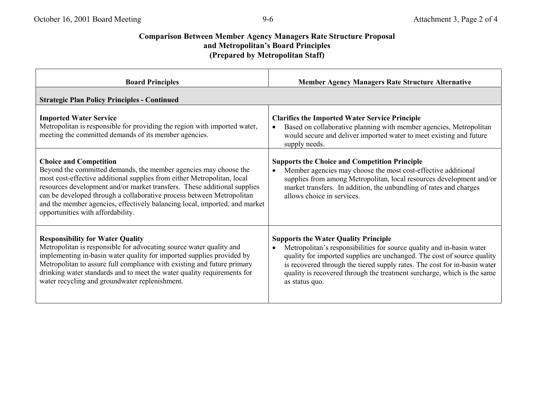# **Comparison Between Member Agency Managers Rate Structure Proposal** and Metropolitan's Board Principles **(Prepared by Metropolitan Staff)**

| <b>Board Principles</b>                                                                                                                                                                                                                                                                                                                                                                                                                              | <b>Member Agency Managers Rate Structure Alternative</b>                                                                                                                                                                                                                                                                                                                  |  |
|------------------------------------------------------------------------------------------------------------------------------------------------------------------------------------------------------------------------------------------------------------------------------------------------------------------------------------------------------------------------------------------------------------------------------------------------------|---------------------------------------------------------------------------------------------------------------------------------------------------------------------------------------------------------------------------------------------------------------------------------------------------------------------------------------------------------------------------|--|
| <b>Strategic Plan Policy Principles - Continued</b>                                                                                                                                                                                                                                                                                                                                                                                                  |                                                                                                                                                                                                                                                                                                                                                                           |  |
| <b>Imported Water Service</b><br>Metropolitan is responsible for providing the region with imported water,<br>meeting the committed demands of its member agencies.                                                                                                                                                                                                                                                                                  | <b>Clarifies the Imported Water Service Principle</b><br>Based on collaborative planning with member agencies, Metropolitan<br>would secure and deliver imported water to meet existing and future<br>supply needs.                                                                                                                                                       |  |
| <b>Choice and Competition</b><br>Beyond the committed demands, the member agencies may choose the<br>most cost-effective additional supplies from either Metropolitan, local<br>resources development and/or market transfers. These additional supplies<br>can be developed through a collaborative process between Metropolitan<br>and the member agencies, effectively balancing local, imported, and market<br>opportunities with affordability. | <b>Supports the Choice and Competition Principle</b><br>Member agencies may choose the most cost-effective additional<br>supplies from among Metropolitan, local resources development and/or<br>market transfers. In addition, the unbundling of rates and charges<br>allows choice in services.                                                                         |  |
| <b>Responsibility for Water Quality</b><br>Metropolitan is responsible for advocating source water quality and<br>implementing in-basin water quality for imported supplies provided by<br>Metropolitan to assure full compliance with existing and future primary<br>drinking water standards and to meet the water quality requirements for<br>water recycling and groundwater replenishment.                                                      | <b>Supports the Water Quality Principle</b><br>Metropolitan's responsibilities for source quality and in-basin water<br>quality for imported supplies are unchanged. The cost of source quality<br>is recovered through the tiered supply rates. The cost for in-basin water<br>quality is recovered through the treatment surcharge, which is the same<br>as status quo. |  |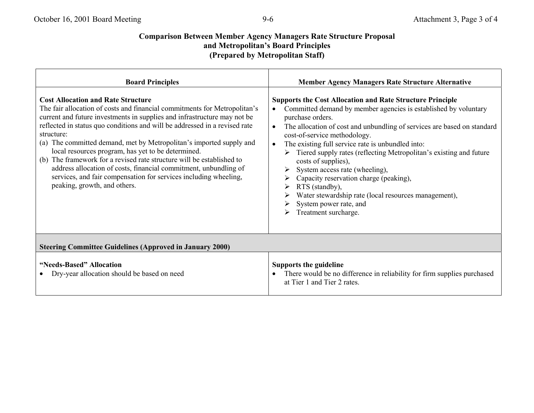# **Comparison Between Member Agency Managers Rate Structure Proposal and Metropolitanís Board Principles (Prepared by Metropolitan Staff)**

| <b>Board Principles</b>                                                                                                                                                                                                                                                                                                                                                                                                                                                                                                                                                                                                                                                         | <b>Member Agency Managers Rate Structure Alternative</b>                                                                                                                                                                                                                                                                                                                                                                                                                                                                                                                                                                                  |  |
|---------------------------------------------------------------------------------------------------------------------------------------------------------------------------------------------------------------------------------------------------------------------------------------------------------------------------------------------------------------------------------------------------------------------------------------------------------------------------------------------------------------------------------------------------------------------------------------------------------------------------------------------------------------------------------|-------------------------------------------------------------------------------------------------------------------------------------------------------------------------------------------------------------------------------------------------------------------------------------------------------------------------------------------------------------------------------------------------------------------------------------------------------------------------------------------------------------------------------------------------------------------------------------------------------------------------------------------|--|
| <b>Cost Allocation and Rate Structure</b><br>The fair allocation of costs and financial commitments for Metropolitan's<br>current and future investments in supplies and infrastructure may not be<br>reflected in status quo conditions and will be addressed in a revised rate<br>structure:<br>(a) The committed demand, met by Metropolitan's imported supply and<br>local resources program, has yet to be determined.<br>The framework for a revised rate structure will be established to<br>(b)<br>address allocation of costs, financial commitment, unbundling of<br>services, and fair compensation for services including wheeling,<br>peaking, growth, and others. | <b>Supports the Cost Allocation and Rate Structure Principle</b><br>Committed demand by member agencies is established by voluntary<br>purchase orders.<br>The allocation of cost and unbundling of services are based on standard<br>$\bullet$<br>cost-of-service methodology.<br>The existing full service rate is unbundled into:<br>Tiered supply rates (reflecting Metropolitan's existing and future<br>costs of supplies),<br>System access rate (wheeling),<br>Capacity reservation charge (peaking),<br>RTS (standby),<br>Water stewardship rate (local resources management),<br>System power rate, and<br>Treatment surcharge. |  |
| <b>Steering Committee Guidelines (Approved in January 2000)</b>                                                                                                                                                                                                                                                                                                                                                                                                                                                                                                                                                                                                                 |                                                                                                                                                                                                                                                                                                                                                                                                                                                                                                                                                                                                                                           |  |
| "Needs-Based" Allocation<br>Dry-year allocation should be based on need                                                                                                                                                                                                                                                                                                                                                                                                                                                                                                                                                                                                         | <b>Supports the guideline</b><br>There would be no difference in reliability for firm supplies purchased<br>at Tier 1 and Tier 2 rates.                                                                                                                                                                                                                                                                                                                                                                                                                                                                                                   |  |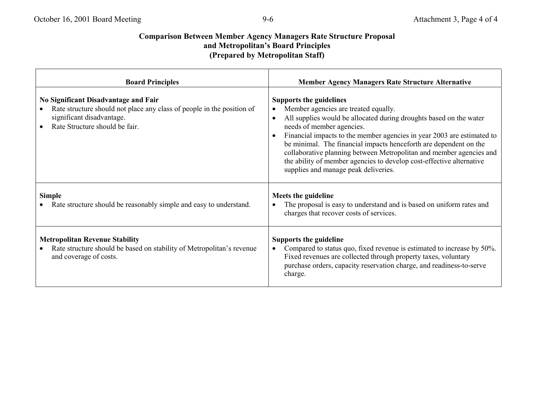# **Comparison Between Member Agency Managers Rate Structure Proposal** and Metropolitan's Board Principles **(Prepared by Metropolitan Staff)**

| <b>Board Principles</b>                                                                                                                                                       | <b>Member Agency Managers Rate Structure Alternative</b>                                                                                                                                                                                                                                                                                                                                                                                                                                                        |
|-------------------------------------------------------------------------------------------------------------------------------------------------------------------------------|-----------------------------------------------------------------------------------------------------------------------------------------------------------------------------------------------------------------------------------------------------------------------------------------------------------------------------------------------------------------------------------------------------------------------------------------------------------------------------------------------------------------|
| No Significant Disadvantage and Fair<br>Rate structure should not place any class of people in the position of<br>significant disadvantage.<br>Rate Structure should be fair. | <b>Supports the guidelines</b><br>Member agencies are treated equally.<br>All supplies would be allocated during droughts based on the water<br>needs of member agencies.<br>Financial impacts to the member agencies in year 2003 are estimated to<br>be minimal. The financial impacts henceforth are dependent on the<br>collaborative planning between Metropolitan and member agencies and<br>the ability of member agencies to develop cost-effective alternative<br>supplies and manage peak deliveries. |
| <b>Simple</b><br>Rate structure should be reasonably simple and easy to understand.                                                                                           | Meets the guideline<br>The proposal is easy to understand and is based on uniform rates and<br>charges that recover costs of services.                                                                                                                                                                                                                                                                                                                                                                          |
| <b>Metropolitan Revenue Stability</b><br>Rate structure should be based on stability of Metropolitan's revenue<br>and coverage of costs.                                      | <b>Supports the guideline</b><br>Compared to status quo, fixed revenue is estimated to increase by 50%.<br>Fixed revenues are collected through property taxes, voluntary<br>purchase orders, capacity reservation charge, and readiness-to-serve<br>charge.                                                                                                                                                                                                                                                    |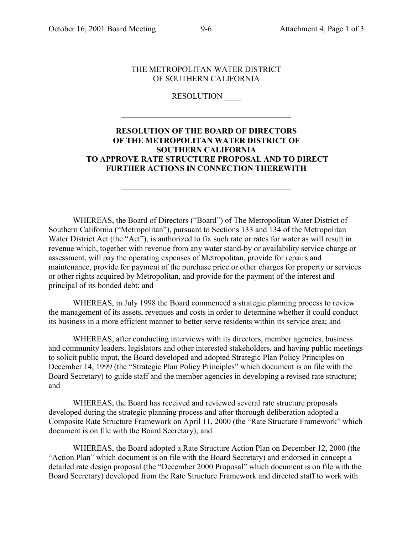$\overline{a}$ 

l

#### THE METROPOLITAN WATER DISTRICT OF SOUTHERN CALIFORNIA

#### RESOLUTION \_\_\_\_

#### **RESOLUTION OF THE BOARD OF DIRECTORS OF THE METROPOLITAN WATER DISTRICT OF SOUTHERN CALIFORNIA TO APPROVE RATE STRUCTURE PROPOSAL AND TO DIRECT FURTHER ACTIONS IN CONNECTION THEREWITH**

WHEREAS, the Board of Directors ("Board") of The Metropolitan Water District of Southern California ("Metropolitan"), pursuant to Sections 133 and 134 of the Metropolitan Water District Act (the "Act"), is authorized to fix such rate or rates for water as will result in revenue which, together with revenue from any water stand-by or availability service charge or assessment, will pay the operating expenses of Metropolitan, provide for repairs and maintenance, provide for payment of the purchase price or other charges for property or services or other rights acquired by Metropolitan, and provide for the payment of the interest and principal of its bonded debt; and

WHEREAS, in July 1998 the Board commenced a strategic planning process to review the management of its assets, revenues and costs in order to determine whether it could conduct its business in a more efficient manner to better serve residents within its service area; and

WHEREAS, after conducting interviews with its directors, member agencies, business and community leaders, legislators and other interested stakeholders, and having public meetings to solicit public input, the Board developed and adopted Strategic Plan Policy Principles on December 14, 1999 (the "Strategic Plan Policy Principles" which document is on file with the Board Secretary) to guide staff and the member agencies in developing a revised rate structure; and

WHEREAS, the Board has received and reviewed several rate structure proposals developed during the strategic planning process and after thorough deliberation adopted a Composite Rate Structure Framework on April 11, 2000 (the "Rate Structure Framework" which document is on file with the Board Secretary); and

WHEREAS, the Board adopted a Rate Structure Action Plan on December 12, 2000 (the "Action Plan" which document is on file with the Board Secretary) and endorsed in concept a detailed rate design proposal (the "December 2000 Proposal" which document is on file with the Board Secretary) developed from the Rate Structure Framework and directed staff to work with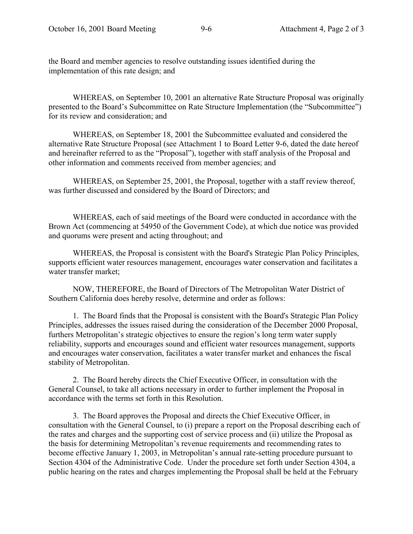the Board and member agencies to resolve outstanding issues identified during the implementation of this rate design; and

WHEREAS, on September 10, 2001 an alternative Rate Structure Proposal was originally presented to the Board's Subcommittee on Rate Structure Implementation (the "Subcommittee") for its review and consideration; and

WHEREAS, on September 18, 2001 the Subcommittee evaluated and considered the alternative Rate Structure Proposal (see Attachment 1 to Board Letter 9-6, dated the date hereof and hereinafter referred to as the "Proposal"), together with staff analysis of the Proposal and other information and comments received from member agencies; and

WHEREAS, on September 25, 2001, the Proposal, together with a staff review thereof, was further discussed and considered by the Board of Directors; and

WHEREAS, each of said meetings of the Board were conducted in accordance with the Brown Act (commencing at 54950 of the Government Code), at which due notice was provided and quorums were present and acting throughout; and

WHEREAS, the Proposal is consistent with the Board's Strategic Plan Policy Principles, supports efficient water resources management, encourages water conservation and facilitates a water transfer market;

NOW, THEREFORE, the Board of Directors of The Metropolitan Water District of Southern California does hereby resolve, determine and order as follows:

1. The Board finds that the Proposal is consistent with the Board's Strategic Plan Policy Principles, addresses the issues raised during the consideration of the December 2000 Proposal, furthers Metropolitan's strategic objectives to ensure the region's long term water supply reliability, supports and encourages sound and efficient water resources management, supports and encourages water conservation, facilitates a water transfer market and enhances the fiscal stability of Metropolitan.

2. The Board hereby directs the Chief Executive Officer, in consultation with the General Counsel, to take all actions necessary in order to further implement the Proposal in accordance with the terms set forth in this Resolution.

3. The Board approves the Proposal and directs the Chief Executive Officer, in consultation with the General Counsel, to (i) prepare a report on the Proposal describing each of the rates and charges and the supporting cost of service process and (ii) utilize the Proposal as the basis for determining Metropolitan's revenue requirements and recommending rates to become effective January 1, 2003, in Metropolitan's annual rate-setting procedure pursuant to Section 4304 of the Administrative Code. Under the procedure set forth under Section 4304, a public hearing on the rates and charges implementing the Proposal shall be held at the February